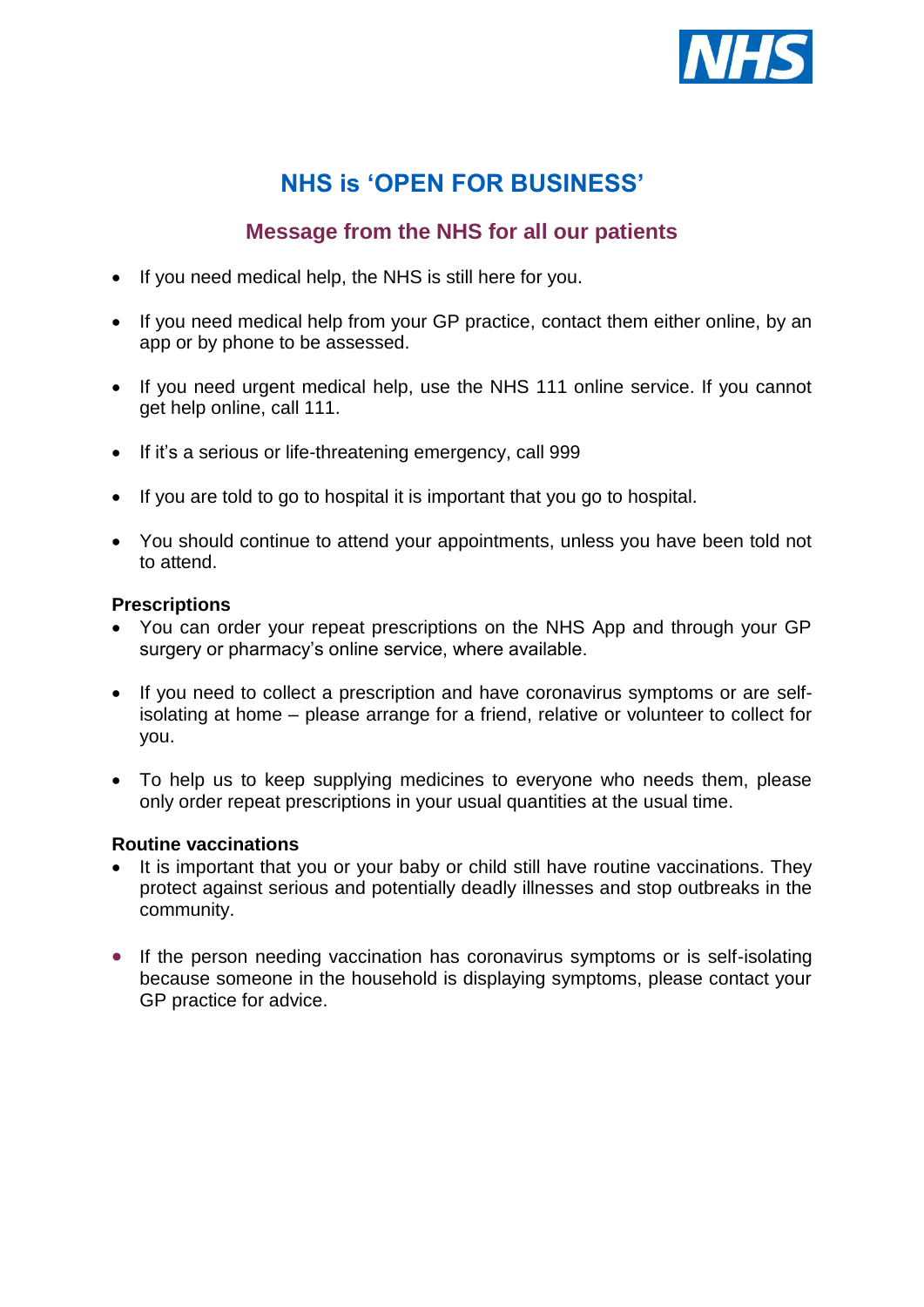

# **NHS is 'OPEN FOR BUSINESS'**

# **Message from the NHS for all our patients**

- If you need medical help, the NHS is still here for you.
- If you need medical help from your GP practice, contact them either online, by an app or by phone to be assessed.
- If you need urgent medical help, use the NHS 111 online service. If you cannot get help online, call 111.
- If it's a serious or life-threatening emergency, call 999
- If you are told to go to hospital it is important that you go to hospital.
- You should continue to attend your appointments, unless you have been told not to attend.

# **Prescriptions**

- You can order your repeat prescriptions on the NHS App and through your GP surgery or pharmacy's online service, where available.
- If you need to collect a prescription and have coronavirus symptoms or are selfisolating at home – please arrange for a friend, relative or volunteer to collect for you.
- To help us to keep supplying medicines to everyone who needs them, please only order repeat prescriptions in your usual quantities at the usual time.

# **Routine vaccinations**

- It is important that you or your baby or child still have routine vaccinations. They protect against serious and potentially deadly illnesses and stop outbreaks in the community.
- If the person needing vaccination has coronavirus symptoms or is self-isolating because someone in the household is displaying symptoms, please contact your GP practice for advice.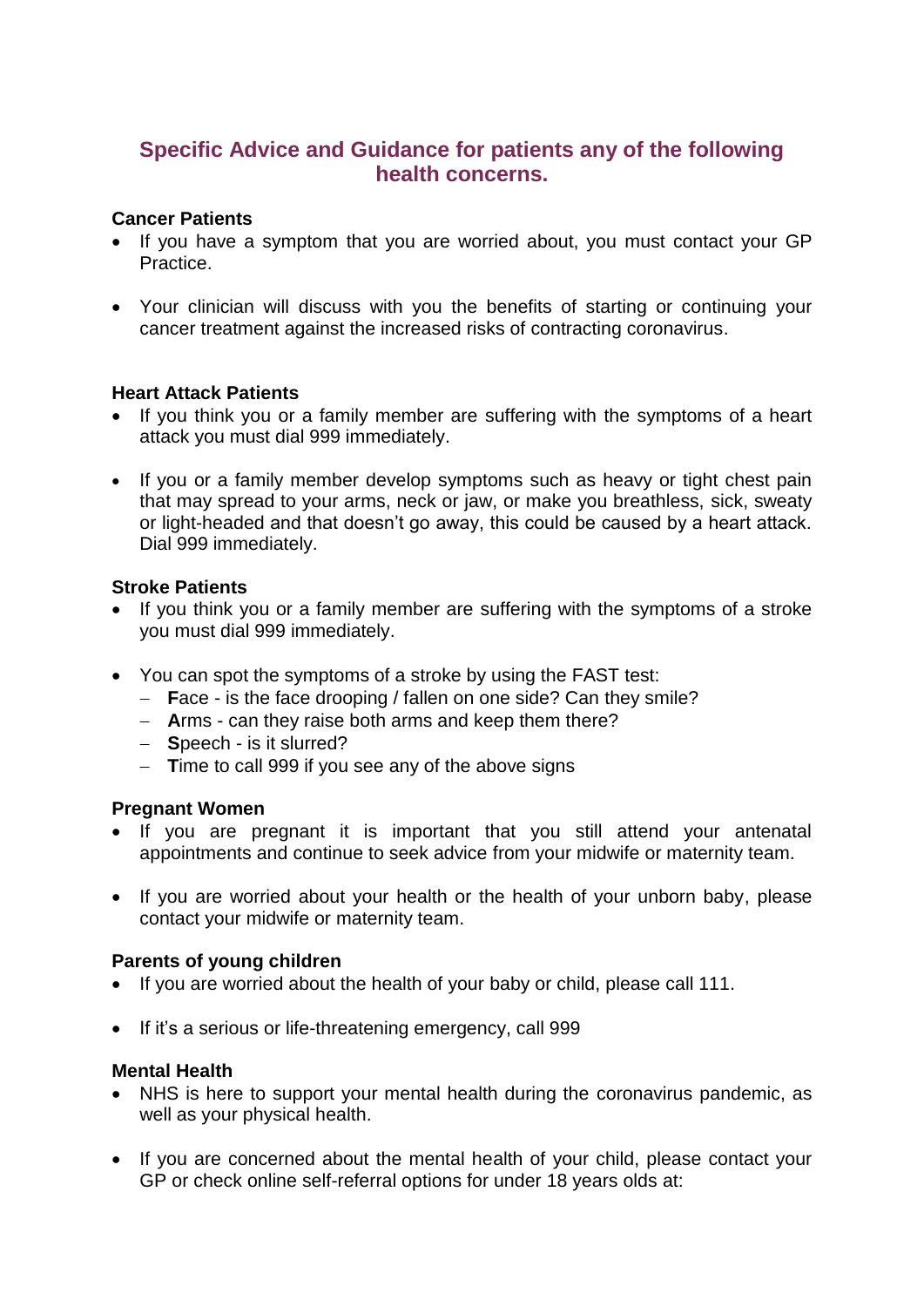# **Specific Advice and Guidance for patients any of the following health concerns.**

### **Cancer Patients**

- If you have a symptom that you are worried about, you must contact your GP Practice.
- Your clinician will discuss with you the benefits of starting or continuing your cancer treatment against the increased risks of contracting coronavirus.

# **Heart Attack Patients**

- If you think you or a family member are suffering with the symptoms of a heart attack you must dial 999 immediately.
- If you or a family member develop symptoms such as heavy or tight chest pain that may spread to your arms, neck or jaw, or make you breathless, sick, sweaty or light-headed and that doesn't go away, this could be caused by a heart attack. Dial 999 immediately.

#### **Stroke Patients**

- If you think you or a family member are suffering with the symptoms of a stroke you must dial 999 immediately.
- You can spot the symptoms of a stroke by using the FAST test:
	- **F**ace is the face drooping / fallen on one side? Can they smile?
	- **A**rms can they raise both arms and keep them there?
	- **S**peech is it slurred?
	- **T**ime to call 999 if you see any of the above signs

# **Pregnant Women**

- If you are pregnant it is important that you still attend your antenatal appointments and continue to seek advice from your midwife or maternity team.
- If you are worried about your health or the health of your unborn baby, please contact your midwife or maternity team.

#### **Parents of young children**

- If you are worried about the health of your baby or child, please call 111.
- If it's a serious or life-threatening emergency, call 999

#### **Mental Health**

- NHS is here to support your mental health during the coronavirus pandemic, as well as your physical health.
- If you are concerned about the mental health of your child, please contact your GP or check online self-referral options for under 18 years olds at: